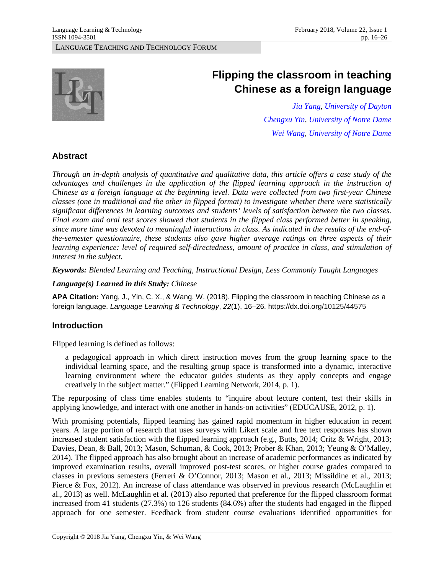

# **Flipping the classroom in teaching Chinese as a foreign language**

*[Jia Yang,](https://udayton.edu/directory/artssciences/languages/yang_jia_judy.php) [University of Dayton](https://udayton.edu/) [Chengxu Yin,](http://eastasian.nd.edu/faculty-and-staff/faculty-by-alpha/yin-chengxu/) [University of Notre Dame](https://www.nd.edu/) [Wei Wang,](http://eastasian.nd.edu/faculty-and-staff/faculty-by-alpha/wang-wei/) [University of Notre Dame](https://www.nd.edu/)*

# **Abstract**

*Through an in-depth analysis of quantitative and qualitative data, this article offers a case study of the advantages and challenges in the application of the flipped learning approach in the instruction of Chinese as a foreign language at the beginning level. Data were collected from two first-year Chinese classes (one in traditional and the other in flipped format) to investigate whether there were statistically significant differences in learning outcomes and students' levels of satisfaction between the two classes. Final exam and oral test scores showed that students in the flipped class performed better in speaking, since more time was devoted to meaningful interactions in class. As indicated in the results of the end-ofthe-semester questionnaire, these students also gave higher average ratings on three aspects of their learning experience: level of required self-directedness, amount of practice in class, and stimulation of interest in the subject.*

*Keywords: Blended Learning and Teaching, Instructional Design, Less Commonly Taught Languages*

*Language(s) Learned in this Study: Chinese*

**APA Citation:** Yang, J., Yin, C. X., & Wang, W. (2018). Flipping the classroom in teaching Chinese as a foreign language. *Language Learning & Technology*, *22*(1), 16–26. https://dx.doi.org/10125/44575

# **Introduction**

Flipped learning is defined as follows:

a pedagogical approach in which direct instruction moves from the group learning space to the individual learning space, and the resulting group space is transformed into a dynamic, interactive learning environment where the educator guides students as they apply concepts and engage creatively in the subject matter." (Flipped Learning Network, 2014, p. 1).

The repurposing of class time enables students to "inquire about lecture content, test their skills in applying knowledge, and interact with one another in hands-on activities" (EDUCAUSE, 2012, p. 1).

With promising potentials, flipped learning has gained rapid momentum in higher education in recent years. A large portion of research that uses surveys with Likert scale and free text responses has shown increased student satisfaction with the flipped learning approach (e.g., Butts, 2014; Critz & Wright, 2013; Davies, Dean, & Ball, 2013; Mason, Schuman, & Cook, 2013; Prober & Khan, 2013; Yeung & O'Malley, 2014). The flipped approach has also brought about an increase of academic performances as indicated by improved examination results, overall improved post-test scores, or higher course grades compared to classes in previous semesters (Ferreri & O'Connor, 2013; Mason et al., 2013; Missildine et al., 2013; Pierce & Fox, 2012). An increase of class attendance was observed in previous research (McLaughlin et al., 2013) as well. McLaughlin et al. (2013) also reported that preference for the flipped classroom format increased from 41 students (27.3%) to 126 students (84.6%) after the students had engaged in the flipped approach for one semester. Feedback from student course evaluations identified opportunities for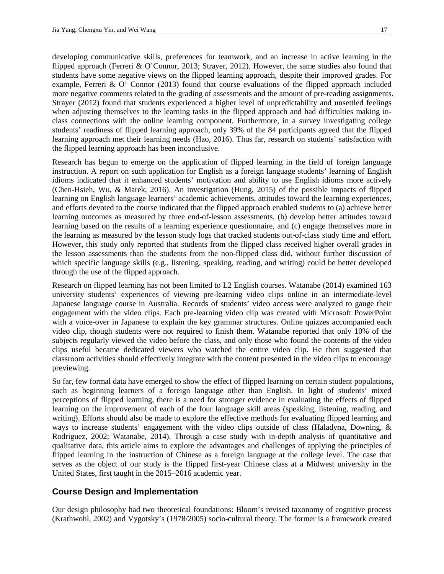developing communicative skills, preferences for teamwork, and an increase in active learning in the flipped approach (Ferreri & O'Connor, 2013; Strayer, 2012). However, the same studies also found that students have some negative views on the flipped learning approach, despite their improved grades. For example, Ferreri & O' Connor (2013) found that course evaluations of the flipped approach included more negative comments related to the grading of assessments and the amount of pre-reading assignments. Strayer (2012) found that students experienced a higher level of unpredictability and unsettled feelings when adjusting themselves to the learning tasks in the flipped approach and had difficulties making inclass connections with the online learning component. Furthermore, in a survey investigating college students' readiness of flipped learning approach, only 39% of the 84 participants agreed that the flipped learning approach met their learning needs (Hao, 2016). Thus far, research on students' satisfaction with the flipped learning approach has been inconclusive.

Research has begun to emerge on the application of flipped learning in the field of foreign language instruction. A report on such application for English as a foreign language students' learning of English idioms indicated that it enhanced students' motivation and ability to use English idioms more actively (Chen-Hsieh, Wu, & Marek, 2016). An investigation (Hung, 2015) of the possible impacts of flipped learning on English language learners' academic achievements, attitudes toward the learning experiences, and efforts devoted to the course indicated that the flipped approach enabled students to (a) achieve better learning outcomes as measured by three end-of-lesson assessments, (b) develop better attitudes toward learning based on the results of a learning experience questionnaire, and (c) engage themselves more in the learning as measured by the lesson study logs that tracked students out-of-class study time and effort. However, this study only reported that students from the flipped class received higher overall grades in the lesson assessments than the students from the non-flipped class did, without further discussion of which specific language skills (e.g., listening, speaking, reading, and writing) could be better developed through the use of the flipped approach.

Research on flipped learning has not been limited to L2 English courses. Watanabe (2014) examined 163 university students' experiences of viewing pre-learning video clips online in an intermediate-level Japanese language course in Australia. Records of students' video access were analyzed to gauge their engagement with the video clips. Each pre-learning video clip was created with Microsoft PowerPoint with a voice-over in Japanese to explain the key grammar structures. Online quizzes accompanied each video clip, though students were not required to finish them. Watanabe reported that only 10% of the subjects regularly viewed the video before the class, and only those who found the contents of the video clips useful became dedicated viewers who watched the entire video clip. He then suggested that classroom activities should effectively integrate with the content presented in the video clips to encourage previewing.

So far, few formal data have emerged to show the effect of flipped learning on certain student populations, such as beginning learners of a foreign language other than English. In light of students' mixed perceptions of flipped learning, there is a need for stronger evidence in evaluating the effects of flipped learning on the improvement of each of the four language skill areas (speaking, listening, reading, and writing). Efforts should also be made to explore the effective methods for evaluating flipped learning and ways to increase students' engagement with the video clips outside of class (Haladyna, Downing, & Rodriguez, 2002; Watanabe, 2014). Through a case study with in-depth analysis of quantitative and qualitative data, this article aims to explore the advantages and challenges of applying the principles of flipped learning in the instruction of Chinese as a foreign language at the college level. The case that serves as the object of our study is the flipped first-year Chinese class at a Midwest university in the United States, first taught in the 2015–2016 academic year.

# **Course Design and Implementation**

Our design philosophy had two theoretical foundations: Bloom's revised taxonomy of cognitive process (Krathwohl, 2002) and Vygotsky's (1978/2005) socio-cultural theory. The former is a framework created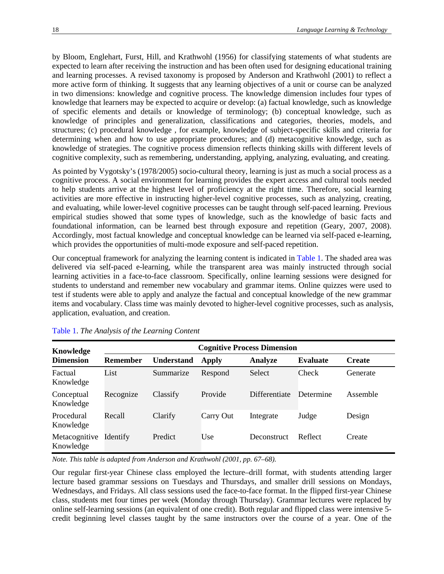by Bloom, Englehart, Furst, Hill, and Krathwohl (1956) for classifying statements of what students are expected to learn after receiving the instruction and has been often used for designing educational training and learning processes. A revised taxonomy is proposed by Anderson and Krathwohl (2001) to reflect a more active form of thinking. It suggests that any learning objectives of a unit or course can be analyzed in two dimensions: knowledge and cognitive process. The knowledge dimension includes four types of knowledge that learners may be expected to acquire or develop: (a) factual knowledge, such as knowledge of specific elements and details or knowledge of terminology; (b) conceptual knowledge, such as knowledge of principles and generalization, classifications and categories, theories, models, and structures; (c) procedural knowledge , for example, knowledge of subject-specific skills and criteria for determining when and how to use appropriate procedures; and (d) metacognitive knowledge, such as knowledge of strategies. The cognitive process dimension reflects thinking skills with different levels of cognitive complexity, such as remembering, understanding, applying, analyzing, evaluating, and creating.

As pointed by Vygotsky's (1978/2005) socio-cultural theory, learning is just as much a social process as a cognitive process. A social environment for learning provides the expert access and cultural tools needed to help students arrive at the highest level of proficiency at the right time. Therefore, social learning activities are more effective in instructing higher-level cognitive processes, such as analyzing, creating, and evaluating, while lower-level cognitive processes can be taught through self-paced learning. Previous empirical studies showed that some types of knowledge, such as the knowledge of basic facts and foundational information, can be learned best through exposure and repetition (Geary, 2007, 2008). Accordingly, most factual knowledge and conceptual knowledge can be learned via self-paced e-learning, which provides the opportunities of multi-mode exposure and self-paced repetition.

<span id="page-2-1"></span>Our conceptual framework for analyzing the learning content is indicated in [Table 1.](#page-2-0) The shaded area was delivered via self-paced e-learning, while the transparent area was mainly instructed through social learning activities in a face-to-face classroom. Specifically, online learning sessions were designed for students to understand and remember new vocabulary and grammar items. Online quizzes were used to test if students were able to apply and analyze the factual and conceptual knowledge of the new grammar items and vocabulary. Class time was mainly devoted to higher-level cognitive processes, such as analysis, application, evaluation, and creation.

| Knowledge                  | <b>Cognitive Process Dimension</b> |                   |              |                |                 |               |  |
|----------------------------|------------------------------------|-------------------|--------------|----------------|-----------------|---------------|--|
| <b>Dimension</b>           | <b>Remember</b>                    | <b>Understand</b> | <b>Apply</b> | <b>Analyze</b> | <b>Evaluate</b> | <b>Create</b> |  |
| Factual<br>Knowledge       | List                               | Summarize         | Respond      | Select         | Check           | Generate      |  |
| Conceptual<br>Knowledge    | Recognize                          | Classify          | Provide      | Differentiate  | Determine       | Assemble      |  |
| Procedural<br>Knowledge    | Recall                             | Clarify           | Carry Out    | Integrate      | Judge           | Design        |  |
| Metacognitive<br>Knowledge | Identify                           | Predict           | Use          | Deconstruct    | Reflect         | Create        |  |

<span id="page-2-0"></span>[Table 1.](#page-2-1) *The Analysis of the Learning Content*

*Note. This table is adapted from Anderson and Krathwohl (2001, pp. 67–68).*

Our regular first-year Chinese class employed the lecture–drill format, with students attending larger lecture based grammar sessions on Tuesdays and Thursdays, and smaller drill sessions on Mondays, Wednesdays, and Fridays. All class sessions used the face-to-face format. In the flipped first-year Chinese class, students met four times per week (Monday through Thursday). Grammar lectures were replaced by online self-learning sessions (an equivalent of one credit). Both regular and flipped class were intensive 5 credit beginning level classes taught by the same instructors over the course of a year. One of the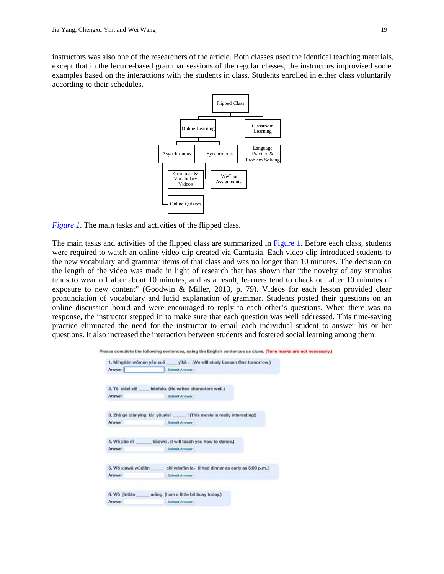p

instructors was also one of the researchers of the article. Both classes used the identical teaching materials, except that in the lecture-based grammar sessions of the regular classes, the instructors improvised some examples based on the interactions with the students in class. Students enrolled in either class voluntarily according to their schedules.

<span id="page-3-0"></span>

<span id="page-3-1"></span>*[Figure 1](#page-3-0)*. The main tasks and activities of the flipped class*.*

The main tasks and activities of the flipped class are summarized in [Figure 1.](#page-3-1) Before each class, students were required to watch an online video clip created via Camtasia. Each video clip introduced students to the new vocabulary and grammar items of that class and was no longer than 10 minutes. The decision on the length of the video was made in light of research that has shown that "the novelty of any stimulus tends to wear off after about 10 minutes, and as a result, learners tend to check out after 10 minutes of exposure to new content" (Goodwin & Miller, 2013, p. 79). Videos for each lesson provided clear pronunciation of vocabulary and lucid explanation of grammar. Students posted their questions on an online discussion board and were encouraged to reply to each other's questions. When there was no response, the instructor stepped in to make sure that each question was well addressed. This time-saving practice eliminated the need for the instructor to email each individual student to answer his or her questions. It also increased the interaction between students and fostered social learning among them.

|                    | 1. Mingtiän wömen yào xué yikè . (We will study Lesson One tomorrow.)       |
|--------------------|-----------------------------------------------------------------------------|
| Answer:            | <b>Submit Answer</b>                                                        |
|                    | 2. Tā xiēzi xiē ____ hēnhão. (He writes characters well.)                   |
| Answer:            | <b>Submit Answer</b>                                                        |
|                    | 3. Zhè gè diànyīng tài yǒuyìsī ______ ! (This movie is really interesting!) |
| Answer:            | Submit Answer                                                               |
|                    | 4. Wǒ jiāo nǐ _______ tiàowǔ . (I will teach you how to dance.)             |
| Answer:            | <b>Submit Answer</b>                                                        |
| 5. Wǒ xiàwū wūdiǎn | chi wänfän le. (I had dinner as early as 5:00 p.m)                          |
| Answer:            | <b>Submit Answer</b>                                                        |
|                    |                                                                             |
|                    | 6. Wǒ jintiān máng. (I am a little bit busy today.)                         |
| Answer:            | <b>Submit Answer</b> .                                                      |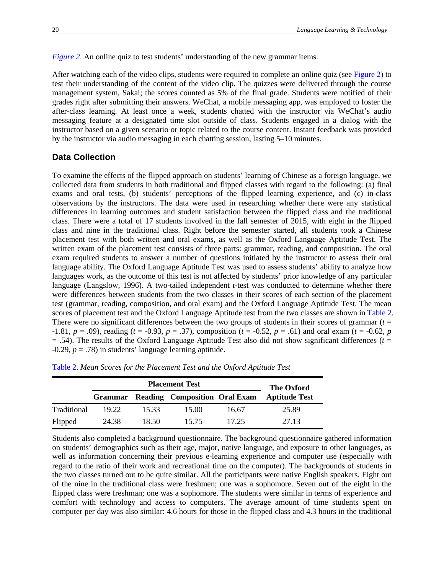*Figure 2.* An online quiz to test students' understanding of the new grammar items.

After watching each of the video clips, students were required to complete an online quiz (see Figure 2) to test their understanding of the content of the video clip. The quizzes were delivered through the course management system, Sakai; the scores counted as 5% of the final grade. Students were notified of their grades right after submitting their answers. WeChat, a mobile messaging app, was employed to foster the after-class learning. At least once a week, students chatted with the instructor via WeChat's audio messaging feature at a designated time slot outside of class. Students engaged in a dialog with the instructor based on a given scenario or topic related to the course content. Instant feedback was provided by the instructor via audio messaging in each chatting session, lasting 5–10 minutes.

# **Data Collection**

To examine the effects of the flipped approach on students' learning of Chinese as a foreign language, we collected data from students in both traditional and flipped classes with regard to the following: (a) final exams and oral tests, (b) students' perceptions of the flipped learning experience, and (c) in-class observations by the instructors. The data were used in researching whether there were any statistical differences in learning outcomes and student satisfaction between the flipped class and the traditional class. There were a total of 17 students involved in the fall semester of 2015, with eight in the flipped class and nine in the traditional class. Right before the semester started, all students took a Chinese placement test with both written and oral exams, as well as the Oxford Language Aptitude Test. The written exam of the placement test consists of three parts: grammar, reading, and composition. The oral exam required students to answer a number of questions initiated by the instructor to assess their oral language ability. The Oxford Language Aptitude Test was used to assess students' ability to analyze how languages work, as the outcome of this test is not affected by students' prior knowledge of any particular language (Langslow, 1996). A two-tailed independent *t*-test was conducted to determine whether there were differences between students from the two classes in their scores of each section of the placement test (grammar, reading, composition, and oral exam) and the Oxford Language Aptitude Test. The mean scores of placement test and the Oxford Language Aptitude test from the two classes are shown in Table 2. There were no significant differences between the two groups of students in their scores of grammar  $(t =$ -1.81,  $p = .09$ ), reading ( $t = -0.93$ ,  $p = .37$ ), composition ( $t = -0.52$ ,  $p = .61$ ) and oral exam ( $t = -0.62$ ,  $p = .61$ )  $=$  .54). The results of the Oxford Language Aptitude Test also did not show significant differences ( $t =$  $-0.29$ ,  $p = .78$ ) in students' language learning aptitude.

| <b>Placement Test</b> |       |       |                                              |       | The Oxford           |  |  |
|-----------------------|-------|-------|----------------------------------------------|-------|----------------------|--|--|
|                       |       |       | <b>Grammar</b> Reading Composition Oral Exam |       | <b>Aptitude Test</b> |  |  |
| Traditional           | 19.22 | 15.33 | 15.00                                        | 16.67 | 25.89                |  |  |
| Flipped               | 24.38 | 18.50 | 15.75                                        | 17.25 | 27.13                |  |  |

Table 2. *Mean Scores for the Placement Test and the Oxford Aptitude Test*

Students also completed a background questionnaire. The background questionnaire gathered information on students' demographics such as their age, major, native language, and exposure to other languages, as well as information concerning their previous e-learning experience and computer use (especially with regard to the ratio of their work and recreational time on the computer). The backgrounds of students in the two classes turned out to be quite similar. All the participants were native English speakers. Eight out of the nine in the traditional class were freshmen; one was a sophomore. Seven out of the eight in the flipped class were freshman; one was a sophomore. The students were similar in terms of experience and comfort with technology and access to computers. The average amount of time students spent on computer per day was also similar: 4.6 hours for those in the flipped class and 4.3 hours in the traditional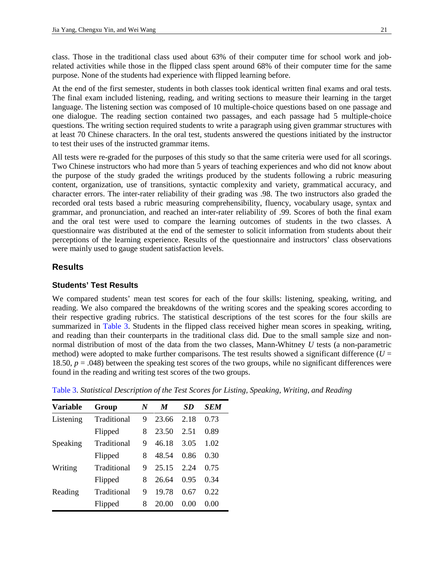class. Those in the traditional class used about 63% of their computer time for school work and jobrelated activities while those in the flipped class spent around 68% of their computer time for the same purpose. None of the students had experience with flipped learning before.

At the end of the first semester, students in both classes took identical written final exams and oral tests. The final exam included listening, reading, and writing sections to measure their learning in the target language. The listening section was composed of 10 multiple-choice questions based on one passage and one dialogue. The reading section contained two passages, and each passage had 5 multiple-choice questions. The writing section required students to write a paragraph using given grammar structures with at least 70 Chinese characters. In the oral test, students answered the questions initiated by the instructor to test their uses of the instructed grammar items.

All tests were re-graded for the purposes of this study so that the same criteria were used for all scorings. Two Chinese instructors who had more than 5 years of teaching experiences and who did not know about the purpose of the study graded the writings produced by the students following a rubric measuring content, organization, use of transitions, syntactic complexity and variety, grammatical accuracy, and character errors. The inter-rater reliability of their grading was .98. The two instructors also graded the recorded oral tests based a rubric measuring comprehensibility, fluency, vocabulary usage, syntax and grammar, and pronunciation, and reached an inter-rater reliability of .99. Scores of both the final exam and the oral test were used to compare the learning outcomes of students in the two classes. A questionnaire was distributed at the end of the semester to solicit information from students about their perceptions of the learning experience. Results of the questionnaire and instructors' class observations were mainly used to gauge student satisfaction levels.

# **Results**

#### **Students' Test Results**

<span id="page-5-1"></span>We compared students' mean test scores for each of the four skills: listening, speaking, writing, and reading. We also compared the breakdowns of the writing scores and the speaking scores according to their respective grading rubrics. The statistical descriptions of the test scores for the four skills are summarized in [Table 3.](#page-5-0) Students in the flipped class received higher mean scores in speaking, writing, and reading than their counterparts in the traditional class did. Due to the small sample size and nonnormal distribution of most of the data from the two classes, Mann-Whitney *U* tests (a non-parametric method) were adopted to make further comparisons. The test results showed a significant difference ( $U =$ 18.50,  $p = .048$ ) between the speaking test scores of the two groups, while no significant differences were found in the reading and writing test scores of the two groups.

| Variable  | Group       | N | $\boldsymbol{M}$ | SD     | SEM  |
|-----------|-------------|---|------------------|--------|------|
| Listening | Traditional | 9 | 23.66            | 2.18   | 0.73 |
|           | Flipped     | 8 | 23.50            | 2.51   | 0.89 |
| Speaking  | Traditional | 9 | 46.18            | 3.05   | 1.02 |
|           | Flipped     | 8 | 48.54            | 0.86   | 0.30 |
| Writing   | Traditional | 9 | 25.15            | 2.24   | 0.75 |
|           | Flipped     | 8 | 26.64            | 0.95   | 0.34 |
| Reading   | Traditional | 9 | 19.78            | 0.67   | 0.22 |
|           | Flipped     | 8 | 20.00            | (0.00) | 0.00 |

<span id="page-5-0"></span>[Table](#page-5-1) 3. *Statistical Description of the Test Scores for Listing, Speaking, Writing, and Reading*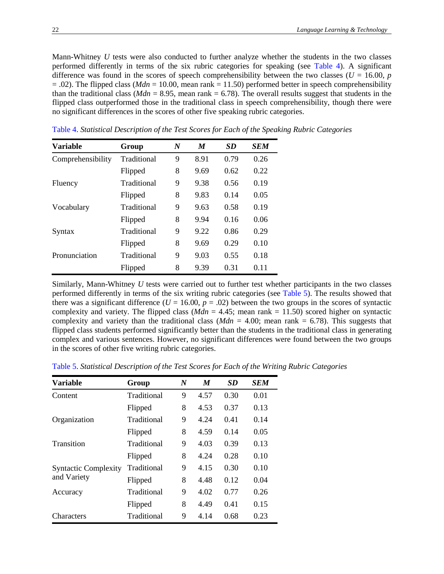Mann-Whitney *U* tests were also conducted to further analyze whether the students in the two classes performed differently in terms of the six rubric categories for speaking (see Table 4). A significant difference was found in the scores of speech comprehensibility between the two classes ( $U = 16.00$ ,  $p$ )  $= .02$ ). The flipped class (*Mdn*  $= 10.00$ , mean rank  $= 11.50$ ) performed better in speech comprehensibility than the traditional class ( $Mdn = 8.95$ , mean rank = 6.78). The overall results suggest that students in the flipped class outperformed those in the traditional class in speech comprehensibility, though there were no significant differences in the scores of other five speaking rubric categories.

| <b>Variable</b>   | Group       | $\boldsymbol{N}$ | M    | SD   | <b>SEM</b> |
|-------------------|-------------|------------------|------|------|------------|
| Comprehensibility | Traditional | 9                | 8.91 | 0.79 | 0.26       |
|                   | Flipped     | 8                | 9.69 | 0.62 | 0.22       |
| Fluency           | Traditional | 9                | 9.38 | 0.56 | 0.19       |
|                   | Flipped     | 8                | 9.83 | 0.14 | 0.05       |
| Vocabulary        | Traditional | 9                | 9.63 | 0.58 | 0.19       |
|                   | Flipped     | 8                | 9.94 | 0.16 | 0.06       |
| Syntax            | Traditional | 9                | 9.22 | 0.86 | 0.29       |
|                   | Flipped     | 8                | 9.69 | 0.29 | 0.10       |
| Pronunciation     | Traditional | 9                | 9.03 | 0.55 | 0.18       |
|                   | Flipped     | 8                | 9.39 | 0.31 | 0.11       |

Table 4. *Statistical Description of the Test Scores for Each of the Speaking Rubric Categories*

<span id="page-6-1"></span>Similarly, Mann-Whitney *U* tests were carried out to further test whether participants in the two classes performed differently in terms of the six writing rubric categories (see [Table 5\)](#page-6-0). The results showed that there was a significant difference ( $U = 16.00$ ,  $p = .02$ ) between the two groups in the scores of syntactic complexity and variety. The flipped class ( $Mdn = 4.45$ ; mean rank = 11.50) scored higher on syntactic complexity and variety than the traditional class  $(Mdn = 4.00)$ ; mean rank = 6.78). This suggests that flipped class students performed significantly better than the students in the traditional class in generating complex and various sentences. However, no significant differences were found between the two groups in the scores of other five writing rubric categories.

| <b>Variable</b>             | Group       | $\boldsymbol{N}$ | M    | <b>SD</b> | <b>SEM</b> |
|-----------------------------|-------------|------------------|------|-----------|------------|
| Content                     | Traditional | 9                | 4.57 | 0.30      | 0.01       |
|                             | Flipped     | 8                | 4.53 | 0.37      | 0.13       |
| Organization                | Traditional | 9                | 4.24 | 0.41      | 0.14       |
|                             | Flipped     | 8                | 4.59 | 0.14      | 0.05       |
| Transition                  | Traditional | 9                | 4.03 | 0.39      | 0.13       |
|                             | Flipped     | 8                | 4.24 | 0.28      | 0.10       |
| <b>Syntactic Complexity</b> | Traditional | 9                | 4.15 | 0.30      | 0.10       |
| and Variety                 | Flipped     | 8                | 4.48 | 0.12      | 0.04       |
| Accuracy                    | Traditional | 9                | 4.02 | 0.77      | 0.26       |
|                             | Flipped     | 8                | 4.49 | 0.41      | 0.15       |
| Characters                  | Traditional | 9                | 4.14 | 0.68      | 0.23       |

<span id="page-6-0"></span>[Table 5.](#page-6-1) *Statistical Description of the Test Scores for Each of the Writing Rubric Categories*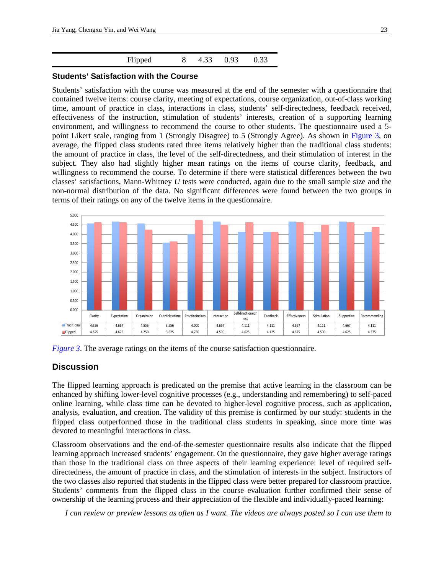<span id="page-7-1"></span>

#### **Students' Satisfaction with the Course**

Students' satisfaction with the course was measured at the end of the semester with a questionnaire that contained twelve items: course clarity, meeting of expectations, course organization, out-of-class working time, amount of practice in class, interactions in class, students' self-directedness, feedback received, effectiveness of the instruction, stimulation of students' interests, creation of a supporting learning environment, and willingness to recommend the course to other students. The questionnaire used a 5 point Likert scale, ranging from 1 (Strongly Disagree) to 5 (Strongly Agree). As shown in [Figure 3,](#page-7-0) on average, the flipped class students rated three items relatively higher than the traditional class students: the amount of practice in class, the level of the self-directedness, and their stimulation of interest in the subject. They also had slightly higher mean ratings on the items of course clarity, feedback, and willingness to recommend the course. To determine if there were statistical differences between the two classes' satisfactions, Mann-Whitney *U* tests were conducted, again due to the small sample size and the non-normal distribution of the data. No significant differences were found between the two groups in terms of their ratings on any of the twelve items in the questionnaire.



<span id="page-7-0"></span>*[Figure 3](#page-7-1)*. The average ratings on the items of the course satisfaction questionnaire.

## **Discussion**

The flipped learning approach is predicated on the premise that active learning in the classroom can be enhanced by shifting lower-level cognitive processes (e.g., understanding and remembering) to self-paced online learning, while class time can be devoted to higher-level cognitive process, such as application, analysis, evaluation, and creation. The validity of this premise is confirmed by our study: students in the flipped class outperformed those in the traditional class students in speaking, since more time was devoted to meaningful interactions in class.

Classroom observations and the end-of-the-semester questionnaire results also indicate that the flipped learning approach increased students' engagement. On the questionnaire, they gave higher average ratings than those in the traditional class on three aspects of their learning experience: level of required selfdirectedness, the amount of practice in class, and the stimulation of interests in the subject. Instructors of the two classes also reported that students in the flipped class were better prepared for classroom practice. Students' comments from the flipped class in the course evaluation further confirmed their sense of ownership of the learning process and their appreciation of the flexible and individually-paced learning:

*I can review or preview lessons as often as I want. The videos are always posted so I can use them to*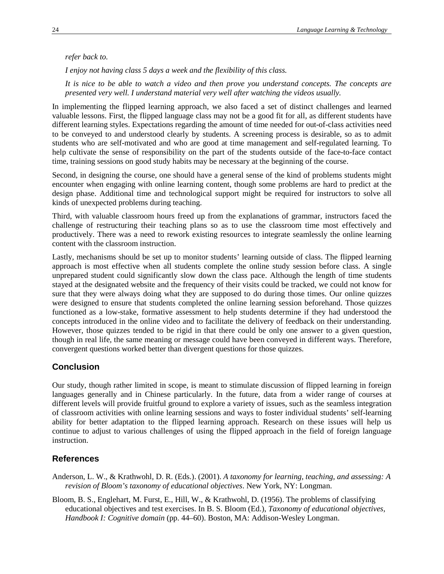#### *refer back to.*

*I enjoy not having class 5 days a week and the flexibility of this class.*

*It is nice to be able to watch a video and then prove you understand concepts. The concepts are presented very well. I understand material very well after watching the videos usually.*

In implementing the flipped learning approach, we also faced a set of distinct challenges and learned valuable lessons. First, the flipped language class may not be a good fit for all, as different students have different learning styles. Expectations regarding the amount of time needed for out-of-class activities need to be conveyed to and understood clearly by students. A screening process is desirable, so as to admit students who are self-motivated and who are good at time management and self-regulated learning. To help cultivate the sense of responsibility on the part of the students outside of the face-to-face contact time, training sessions on good study habits may be necessary at the beginning of the course.

Second, in designing the course, one should have a general sense of the kind of problems students might encounter when engaging with online learning content, though some problems are hard to predict at the design phase. Additional time and technological support might be required for instructors to solve all kinds of unexpected problems during teaching.

Third, with valuable classroom hours freed up from the explanations of grammar, instructors faced the challenge of restructuring their teaching plans so as to use the classroom time most effectively and productively. There was a need to rework existing resources to integrate seamlessly the online learning content with the classroom instruction.

Lastly, mechanisms should be set up to monitor students' learning outside of class. The flipped learning approach is most effective when all students complete the online study session before class. A single unprepared student could significantly slow down the class pace. Although the length of time students stayed at the designated website and the frequency of their visits could be tracked, we could not know for sure that they were always doing what they are supposed to do during those times. Our online quizzes were designed to ensure that students completed the online learning session beforehand. Those quizzes functioned as a low-stake, formative assessment to help students determine if they had understood the concepts introduced in the online video and to facilitate the delivery of feedback on their understanding. However, those quizzes tended to be rigid in that there could be only one answer to a given question, though in real life, the same meaning or message could have been conveyed in different ways. Therefore, convergent questions worked better than divergent questions for those quizzes.

## **Conclusion**

Our study, though rather limited in scope, is meant to stimulate discussion of flipped learning in foreign languages generally and in Chinese particularly. In the future, data from a wider range of courses at different levels will provide fruitful ground to explore a variety of issues, such as the seamless integration of classroom activities with online learning sessions and ways to foster individual students' self-learning ability for better adaptation to the flipped learning approach. Research on these issues will help us continue to adjust to various challenges of using the flipped approach in the field of foreign language instruction.

### **References**

- Anderson, L. W., & Krathwohl, D. R. (Eds.). (2001). *A taxonomy for learning, teaching, and assessing: A revision of Bloom's taxonomy of educational objectives*. New York, NY: Longman.
- Bloom, B. S., Englehart, M. Furst, E., Hill, W., & Krathwohl, D. (1956). The problems of classifying educational objectives and test exercises. In B. S. Bloom (Ed.), *Taxonomy of educational objectives, Handbook I: Cognitive domain* (pp. 44–60). Boston, MA: Addison-Wesley Longman.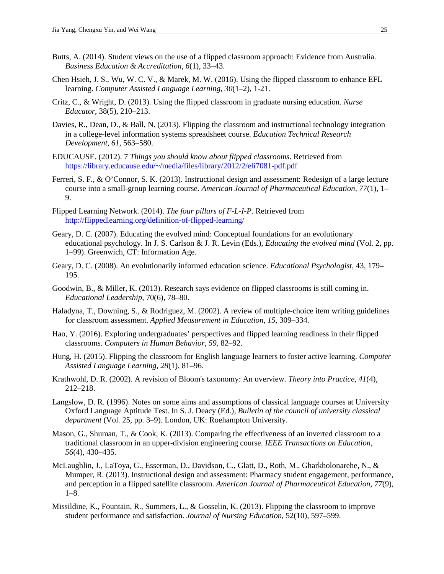- Butts, A. (2014). Student views on the use of a flipped classroom approach: Evidence from Australia. *Business Education & Accreditation*, *6*(1), 33–43.
- Chen Hsieh, J. S., Wu, W. C. V., & Marek, M. W. (2016). Using the flipped classroom to enhance EFL learning. *Computer Assisted Language Learning*, *30*(1–2), 1-21.
- Critz, C., & Wright, D. (2013). Using the flipped classroom in graduate nursing education. *Nurse Educator*, 38(5), 210–213.
- Davies, R., Dean, D., & Ball, N. (2013). Flipping the classroom and instructional technology integration in a college-level information systems spreadsheet course. *Education Technical Research Development*, *61*, 563–580.
- EDUCAUSE. (2012). 7 *Things you should know about flipped classrooms*. Retrieved from [https://library.educause.edu/~/media/files/library/2012/2/eli7081-pdf.pdf](https://library.educause.edu/%7E/media/files/library/2012/2/eli7081-pdf.pdf)
- Ferreri, S. F., & O'Connor, S. K. (2013). Instructional design and assessment: Redesign of a large lecture course into a small-group learning course. *American Journal of Pharmaceutical Education*, *77*(1), 1– 9.
- Flipped Learning Network. (2014). *The four pillars of F-L-I-P*. Retrieved from <http://flippedlearning.org/definition-of-flipped-learning/>
- Geary, D. C. (2007). Educating the evolved mind: Conceptual foundations for an evolutionary educational psychology. In J. S. Carlson & J. R. Levin (Eds.), *Educating the evolved mind* (Vol. 2, pp. 1–99). Greenwich, CT: Information Age.
- Geary, D. C. (2008). An evolutionarily informed education science. *Educational Psychologist*, 43, 179– 195.
- Goodwin, B., & Miller, K. (2013). Research says evidence on flipped classrooms is still coming in. *Educational Leadership*, 70(6), 78–80.
- Haladyna, T., Downing, S., & Rodriguez, M. (2002). A review of multiple-choice item writing guidelines for classroom assessment. *Applied Measurement in Education*, *15*, 309–334.
- Hao, Y. (2016). Exploring undergraduates' perspectives and flipped learning readiness in their flipped classrooms. *Computers in Human Behavior*, *59*, 82–92.
- Hung, H. (2015). Flipping the classroom for English language learners to foster active learning. *Computer Assisted Language Learning*, *28*(1), 81–96.
- Krathwohl, D. R. (2002). A revision of Bloom's taxonomy: An overview. *Theory into Practice*, *41*(4), 212–218.
- Langslow, D. R. (1996). Notes on some aims and assumptions of classical language courses at University Oxford Language Aptitude Test. In S. J. Deacy (Ed.), *Bulletin of the council of university classical department* (Vol. 25, pp. 3–9). London, UK: Roehampton University.
- Mason, G., Shuman, T., & Cook, K. (2013). Comparing the effectiveness of an inverted classroom to a traditional classroom in an upper-division engineering course. *IEEE Transactions on Education*, *56*(4), 430–435.
- McLaughlin, J., LaToya, G., Esserman, D., Davidson, C., Glatt, D., Roth, M., Gharkholonarehe, N., & Mumper, R. (2013). Instructional design and assessment: Pharmacy student engagement, performance, and perception in a flipped satellite classroom. *American Journal of Pharmaceutical Education*, *77*(9), 1–8.
- Missildine, K., Fountain, R., Summers, L., & Gosselin, K. (2013). Flipping the classroom to improve student performance and satisfaction. *Journal of Nursing Education*, 52(10), 597–599.